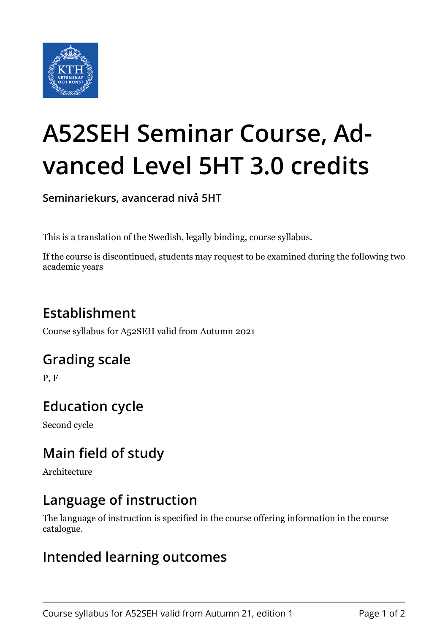

# **A52SEH Seminar Course, Advanced Level 5HT 3.0 credits**

**Seminariekurs, avancerad nivå 5HT**

This is a translation of the Swedish, legally binding, course syllabus.

If the course is discontinued, students may request to be examined during the following two academic years

# **Establishment**

Course syllabus for A52SEH valid from Autumn 2021

## **Grading scale**

P, F

# **Education cycle**

Second cycle

# **Main field of study**

Architecture

## **Language of instruction**

The language of instruction is specified in the course offering information in the course catalogue.

#### **Intended learning outcomes**